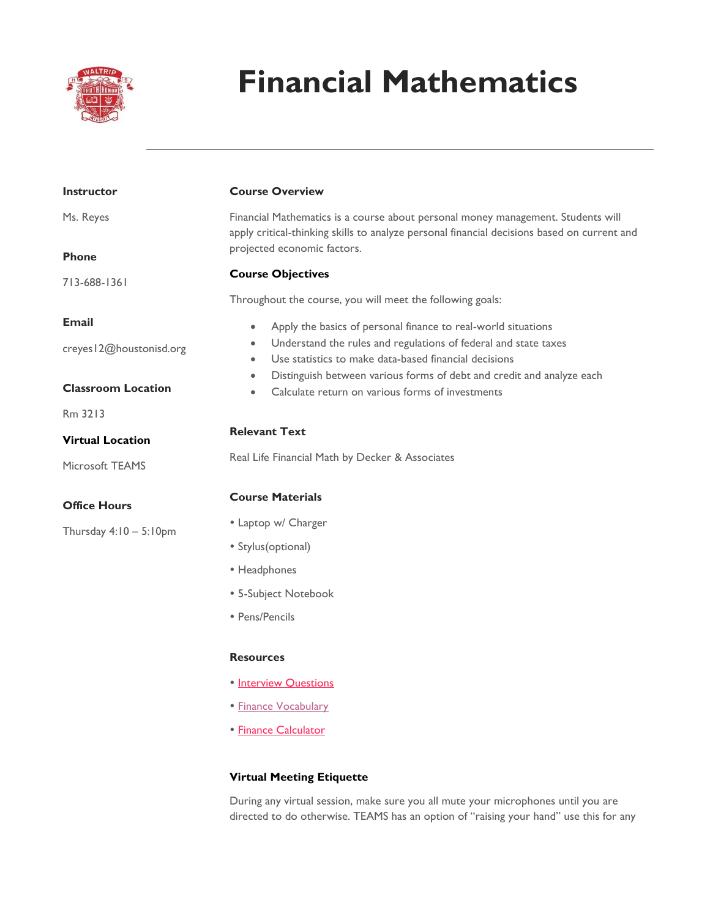

# **Financial Mathematics**

| <b>Instructor</b>         | <b>Course Overview</b>                                                                                                                                                          |  |
|---------------------------|---------------------------------------------------------------------------------------------------------------------------------------------------------------------------------|--|
| Ms. Reyes                 | Financial Mathematics is a course about personal money management. Students will<br>apply critical-thinking skills to analyze personal financial decisions based on current and |  |
| <b>Phone</b>              | projected economic factors.                                                                                                                                                     |  |
| 713-688-1361              | <b>Course Objectives</b>                                                                                                                                                        |  |
|                           | Throughout the course, you will meet the following goals:                                                                                                                       |  |
| <b>Email</b>              | Apply the basics of personal finance to real-world situations<br>$\bullet$                                                                                                      |  |
| creyes   2@houstonisd.org | Understand the rules and regulations of federal and state taxes<br>$\bullet$<br>Use statistics to make data-based financial decisions<br>$\bullet$                              |  |
| <b>Classroom Location</b> | Distinguish between various forms of debt and credit and analyze each<br>$\bullet$<br>Calculate return on various forms of investments<br>$\bullet$                             |  |
| Rm 3213                   |                                                                                                                                                                                 |  |
| <b>Virtual Location</b>   | <b>Relevant Text</b><br>Real Life Financial Math by Decker & Associates                                                                                                         |  |
| Microsoft TEAMS           |                                                                                                                                                                                 |  |
| <b>Office Hours</b>       | <b>Course Materials</b>                                                                                                                                                         |  |
| Thursday $4:10-5:10$ pm   | • Laptop w/ Charger                                                                                                                                                             |  |
|                           | • Stylus(optional)                                                                                                                                                              |  |
|                           | • Headphones                                                                                                                                                                    |  |
|                           | • 5-Subject Notebook                                                                                                                                                            |  |
|                           | • Pens/Pencils                                                                                                                                                                  |  |
|                           | <b>Resources</b>                                                                                                                                                                |  |
|                           | • Interview Questions                                                                                                                                                           |  |
|                           | · Finance Vocabulary                                                                                                                                                            |  |
|                           | <b>• Finance Calculator</b>                                                                                                                                                     |  |

# **Virtual Meeting Etiquette**

During any virtual session, make sure you all mute your microphones until you are directed to do otherwise. TEAMS has an option of "raising your hand" use this for any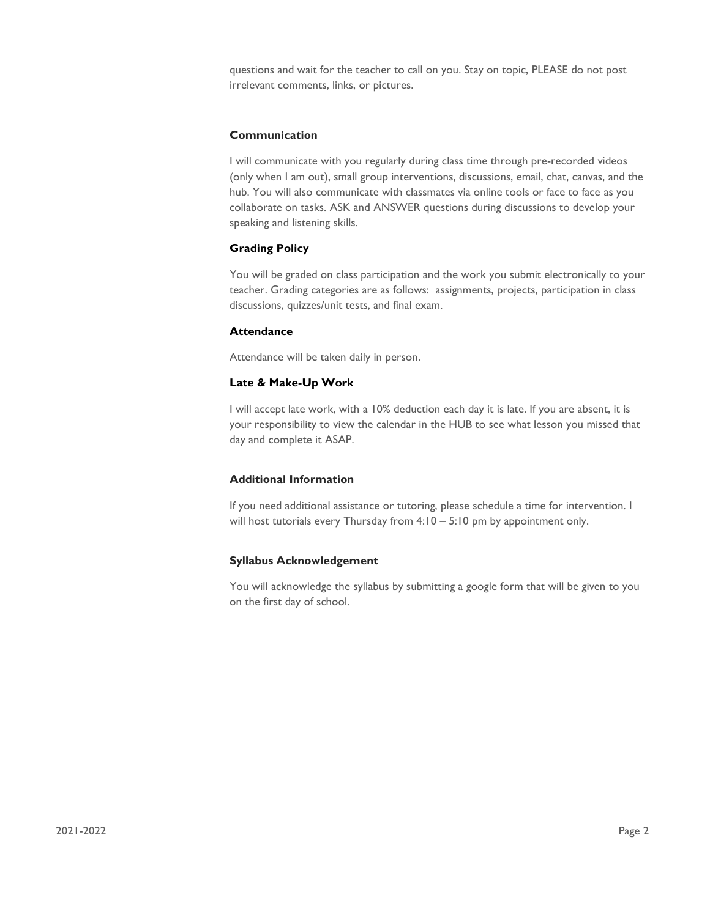questions and wait for the teacher to call on you. Stay on topic, PLEASE do not post irrelevant comments, links, or pictures.

#### **Communication**

I will communicate with you regularly during class time through pre-recorded videos (only when I am out), small group interventions, discussions, email, chat, canvas, and the hub. You will also communicate with classmates via online tools or face to face as you collaborate on tasks. ASK and ANSWER questions during discussions to develop your speaking and listening skills.

# **Grading Policy**

You will be graded on class participation and the work you submit electronically to your teacher. Grading categories are as follows: assignments, projects, participation in class discussions, quizzes/unit tests, and final exam.

#### **Attendance**

Attendance will be taken daily in person.

#### **Late & Make-Up Work**

I will accept late work, with a 10% deduction each day it is late. If you are absent, it is your responsibility to view the calendar in the HUB to see what lesson you missed that day and complete it ASAP.

#### **Additional Information**

If you need additional assistance or tutoring, please schedule a time for intervention. I will host tutorials every Thursday from 4:10 – 5:10 pm by appointment only.

# **Syllabus Acknowledgement**

You will acknowledge the syllabus by submitting a google form that will be given to you on the first day of school.